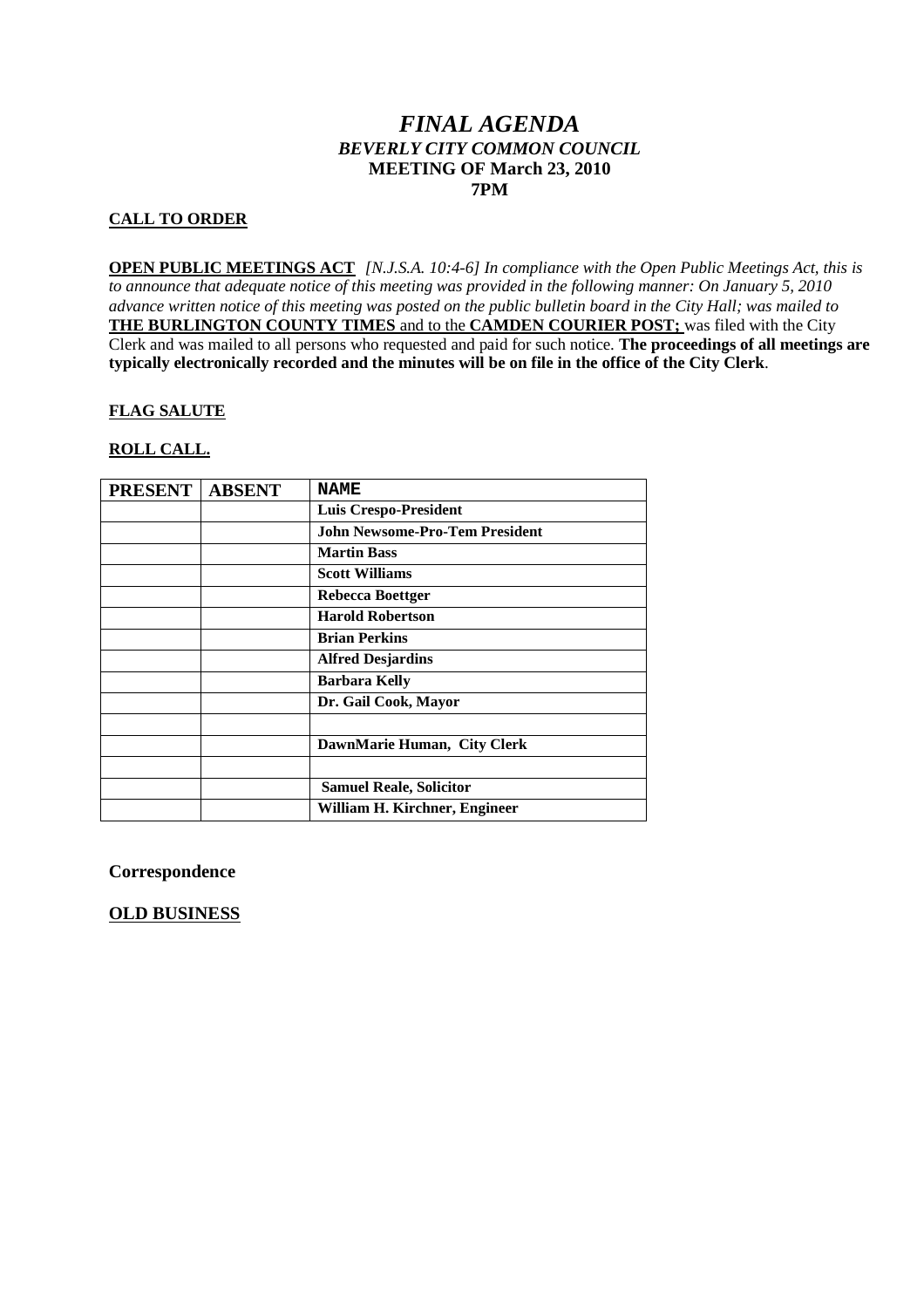# *FINAL AGENDA BEVERLY CITY COMMON COUNCIL* **MEETING OF March 23, 2010 7PM**

### **CALL TO ORDER**

**OPEN PUBLIC MEETINGS ACT** *[N.J.S.A. 10:4-6] In compliance with the Open Public Meetings Act, this is to announce that adequate notice of this meeting was provided in the following manner: On January 5, 2010 advance written notice of this meeting was posted on the public bulletin board in the City Hall; was mailed to* **THE BURLINGTON COUNTY TIMES** and to the **CAMDEN COURIER POST;** was filed with the City Clerk and was mailed to all persons who requested and paid for such notice. **The proceedings of all meetings are typically electronically recorded and the minutes will be on file in the office of the City Clerk**.

#### **FLAG SALUTE**

#### **ROLL CALL.**

| <b>PRESENT</b> | <b>ABSENT</b> | <b>NAME</b>                    |
|----------------|---------------|--------------------------------|
|                |               | <b>Luis Crespo-President</b>   |
|                |               | John Newsome-Pro-Tem President |
|                |               | <b>Martin Bass</b>             |
|                |               | <b>Scott Williams</b>          |
|                |               | Rebecca Boettger               |
|                |               | <b>Harold Robertson</b>        |
|                |               | <b>Brian Perkins</b>           |
|                |               | <b>Alfred Desjardins</b>       |
|                |               | <b>Barbara Kelly</b>           |
|                |               | Dr. Gail Cook, Mayor           |
|                |               |                                |
|                |               | DawnMarie Human, City Clerk    |
|                |               |                                |
|                |               | <b>Samuel Reale, Solicitor</b> |
|                |               | William H. Kirchner, Engineer  |

**Correspondence**

**OLD BUSINESS**